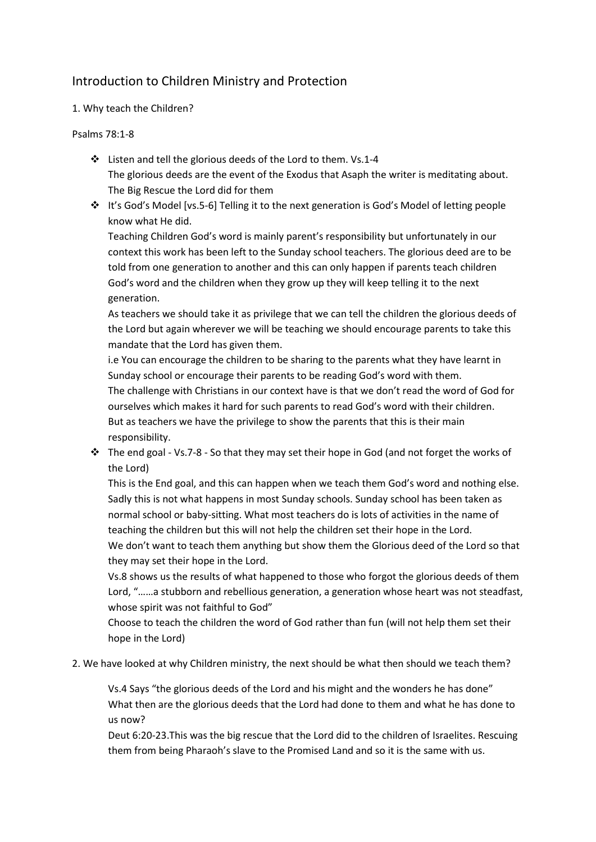# Introduction to Children Ministry and Protection

# 1. Why teach the Children?

### Psalms 78:1-8

- Listen and tell the glorious deeds of the Lord to them. Vs.1-4 The glorious deeds are the event of the Exodus that Asaph the writer is meditating about. The Big Rescue the Lord did for them
- It's God's Model [vs.5-6] Telling it to the next generation is God's Model of letting people know what He did.

Teaching Children God's word is mainly parent's responsibility but unfortunately in our context this work has been left to the Sunday school teachers. The glorious deed are to be told from one generation to another and this can only happen if parents teach children God's word and the children when they grow up they will keep telling it to the next generation.

As teachers we should take it as privilege that we can tell the children the glorious deeds of the Lord but again wherever we will be teaching we should encourage parents to take this mandate that the Lord has given them.

i.e You can encourage the children to be sharing to the parents what they have learnt in Sunday school or encourage their parents to be reading God's word with them. The challenge with Christians in our context have is that we don't read the word of God for ourselves which makes it hard for such parents to read God's word with their children.

But as teachers we have the privilege to show the parents that this is their main responsibility.

\* The end goal - Vs.7-8 - So that they may set their hope in God (and not forget the works of the Lord)

This is the End goal, and this can happen when we teach them God's word and nothing else. Sadly this is not what happens in most Sunday schools. Sunday school has been taken as normal school or baby-sitting. What most teachers do is lots of activities in the name of teaching the children but this will not help the children set their hope in the Lord. We don't want to teach them anything but show them the Glorious deed of the Lord so that they may set their hope in the Lord.

Vs.8 shows us the results of what happened to those who forgot the glorious deeds of them Lord, "……a stubborn and rebellious generation, a generation whose heart was not steadfast, whose spirit was not faithful to God"

Choose to teach the children the word of God rather than fun (will not help them set their hope in the Lord)

2. We have looked at why Children ministry, the next should be what then should we teach them?

Vs.4 Says "the glorious deeds of the Lord and his might and the wonders he has done" What then are the glorious deeds that the Lord had done to them and what he has done to us now?

Deut 6:20-23.This was the big rescue that the Lord did to the children of Israelites. Rescuing them from being Pharaoh's slave to the Promised Land and so it is the same with us.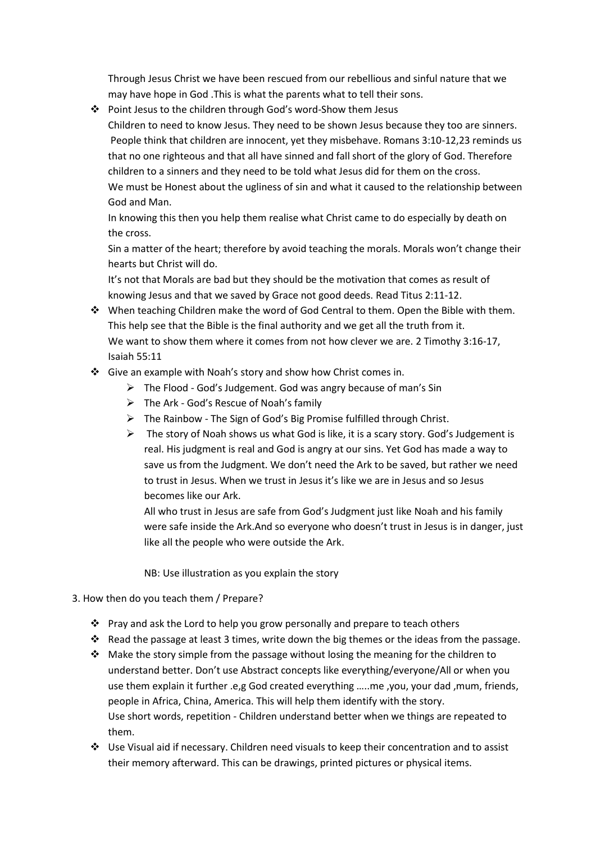Through Jesus Christ we have been rescued from our rebellious and sinful nature that we may have hope in God .This is what the parents what to tell their sons.

 Point Jesus to the children through God's word-Show them Jesus Children to need to know Jesus. They need to be shown Jesus because they too are sinners. People think that children are innocent, yet they misbehave. Romans 3:10-12,23 reminds us that no one righteous and that all have sinned and fall short of the glory of God. Therefore children to a sinners and they need to be told what Jesus did for them on the cross. We must be Honest about the ugliness of sin and what it caused to the relationship between God and Man.

In knowing this then you help them realise what Christ came to do especially by death on the cross.

Sin a matter of the heart; therefore by avoid teaching the morals. Morals won't change their hearts but Christ will do.

It's not that Morals are bad but they should be the motivation that comes as result of knowing Jesus and that we saved by Grace not good deeds. Read Titus 2:11-12.

- When teaching Children make the word of God Central to them. Open the Bible with them. This help see that the Bible is the final authority and we get all the truth from it. We want to show them where it comes from not how clever we are. 2 Timothy 3:16-17, Isaiah 55:11
- Give an example with Noah's story and show how Christ comes in.
	- > The Flood God's Judgement. God was angry because of man's Sin
	- $\triangleright$  The Ark God's Rescue of Noah's family
	- $\triangleright$  The Rainbow The Sign of God's Big Promise fulfilled through Christ.
	- $\triangleright$  The story of Noah shows us what God is like, it is a scary story. God's Judgement is real. His judgment is real and God is angry at our sins. Yet God has made a way to save us from the Judgment. We don't need the Ark to be saved, but rather we need to trust in Jesus. When we trust in Jesus it's like we are in Jesus and so Jesus becomes like our Ark.

All who trust in Jesus are safe from God's Judgment just like Noah and his family were safe inside the Ark.And so everyone who doesn't trust in Jesus is in danger, just like all the people who were outside the Ark.

NB: Use illustration as you explain the story

- 3. How then do you teach them / Prepare?
	- \* Pray and ask the Lord to help you grow personally and prepare to teach others
	- Read the passage at least 3 times, write down the big themes or the ideas from the passage.
	- \* Make the story simple from the passage without losing the meaning for the children to understand better. Don't use Abstract concepts like everything/everyone/All or when you use them explain it further .e,g God created everything …..me ,you, your dad ,mum, friends, people in Africa, China, America. This will help them identify with the story. Use short words, repetition - Children understand better when we things are repeated to them.
	- Use Visual aid if necessary. Children need visuals to keep their concentration and to assist their memory afterward. This can be drawings, printed pictures or physical items.